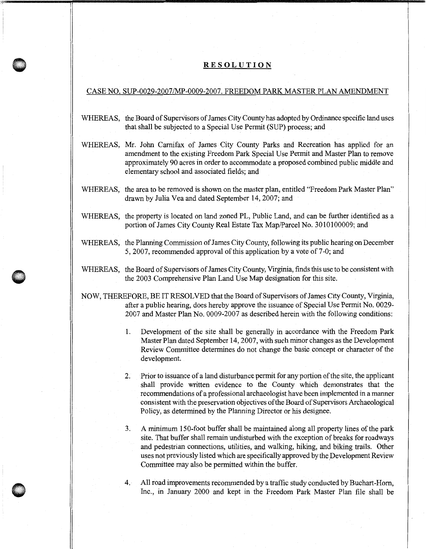## **RESOLUTION**

## CASE NO. SUP-0029-2007/MP-0009-2007. FREEDOM PARK MASTER PLAN AMENDMENT

- WHEREAS, the Board of Supervisors of James City County has adopted by Ordinance specific land uses that shall be subjected to a Special Use Permit (SUP) process; and
- WHEREAS, Mr. John Carnifax of James City County Parks and Recreation has applied for an amendment to the existing Freedom Park Special Use Permit and Master Plan to remove approximately 90 acres in order to accommodate a proposed combined public middle and elementary school and associated fields; and
- WHEREAS, the area to be removed is shown on the master plan, entitled "Freedom Park Master Plan" drawn by Julia Vea and dated September 14, 2007; and
- WHEREAS, the property is located on land zoned PL, Public Land, and can be further identified as a portion of James City County Real Estate Tax Map/Parcel No. 3010100009; and
- WHEREAS, the Planning Commission of James City County, following its public hearing on December 5, 2007, recommended approval of this application by a vote of 7-0; and
- WHEREAS, the Board of Supervisors of James City County, Virginia, finds this use to be consistent with the 2003 Comprehensive Plan Land Use Map designation for this site.

NOW, THEREFORE, BE IT RESOLVED that the Board of Supervisors ofJames City County, Virginia, after a public hearing, does hereby approve the issuance of Special Use Permit No. 0029- 2007 and Master Plan No. 0009-2007 as described herein with the following conditions:

- 1. Development of the site shall be generally in accordance with the Freedom Park Master Plan dated September 14, 2007, with such minor changes as the Development Review Committee determines do not change the basic concept or character of the development.
- 2. Prior to issuance of a land disturbance permit for any portion of the site, the applicant shall provide written evidence to the County which demonstrates that the recommendations of a professional archaeologist have been implemented in a manner consistent with the preservation objectives of the Board of Supervisors Archaeological Policy, as determined by the Planning Director or his designee.
- 3. A minimum 150-foot buffer shall be maintained along all property lines of the park site. That buffer shall remain undisturbed with the exception of breaks for roadways and pedestrian connections, utilities, and walking, hiking, and biking trails. Other uses not previously listed which are specifically approved by the Development Review Committee may also be permitted within the buffer.
- 4. All road improvements recommended by a traffic study conducted by Buchart-Hom, Inc., in January 2000 and kept in the Freedom Park Master Plan file shall be